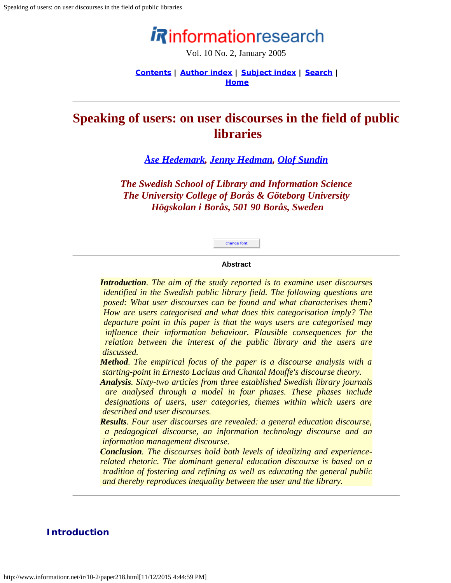# informationresearch

Vol. 10 No. 2, January 2005

**[Contents](http://www.informationr.net/ir/10-2/infres102.html) | [Author index](http://www.informationr.net/ir/iraindex.html) | [Subject index](http://www.informationr.net/ir/irsindex.html) | [Search](http://www.informationr.net/ir/search.html) | [Home](http://www.informationr.net/ir/index.html)**

## <span id="page-0-0"></span>**Speaking of users: on user discourses in the field of public libraries**

#### *[Åse Hedemark](mailto:ase.hedemark@abm.uu.se), [Jenny Hedman](mailto:jenny.hedman@hb.se), [Olof Sundin](mailto:olof.sundin@hb.se)*

*The Swedish School of Library and Information Science The University College of Borås & Göteborg University Högskolan i Borås, 501 90 Borås, Sweden*

# change font

#### **Abstract**

*Introduction. The aim of the study reported is to examine user discourses identified in the Swedish public library field. The following questions are posed: What user discourses can be found and what characterises them? How are users categorised and what does this categorisation imply? The departure point in this paper is that the ways users are categorised may influence their information behaviour. Plausible consequences for the relation between the interest of the public library and the users are discussed.*

*Method. The empirical focus of the paper is a discourse analysis with a starting-point in Ernesto Laclaus and Chantal Mouffe's discourse theory.*

*Analysis. Sixty-two articles from three established Swedish library journals are analysed through a model in four phases. These phases include designations of users, user categories, themes within which users are described and user discourses.* 

*Results. Four user discourses are revealed: a general education discourse, a pedagogical discourse, an information technology discourse and an information management discourse.* 

*Conclusion. The discourses hold both levels of idealizing and experiencerelated rhetoric. The dominant general education discourse is based on a tradition of fostering and refining as well as educating the general public and thereby reproduces inequality between the user and the library.*

#### **Introduction**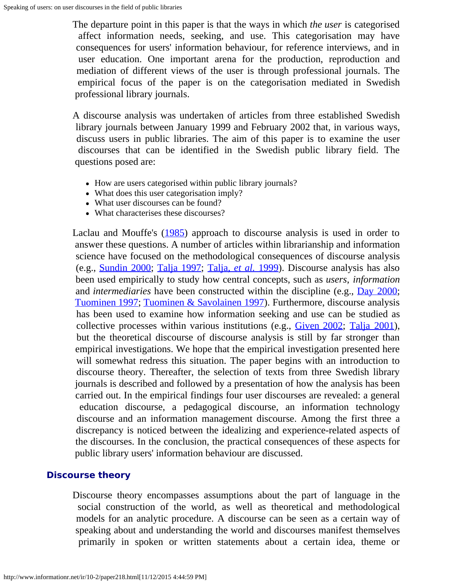The departure point in this paper is that the ways in which *the user* is categorised affect information needs, seeking, and use. This categorisation may have consequences for users' information behaviour, for reference interviews, and in user education. One important arena for the production, reproduction and mediation of different views of the user is through professional journals. The empirical focus of the paper is on the categorisation mediated in Swedish professional library journals.

A discourse analysis was undertaken of articles from three established Swedish library journals between January 1999 and February 2002 that, in various ways, discuss users in public libraries. The aim of this paper is to examine the user discourses that can be identified in the Swedish public library field. The questions posed are:

- How are users categorised within public library journals?
- What does this user categorisation imply?
- What user discourses can be found?
- What characterises these discourses?

Laclau and Mouffe's [\(1985](#page-13-0)) approach to discourse analysis is used in order to answer these questions. A number of articles within librarianship and information science have focused on the methodological consequences of discourse analysis (e.g., [Sundin 2000;](#page-13-1) [Talja 1997](#page-13-2); [Talja,](#page-14-0) *[et al.](#page-14-0)* [1999](#page-14-0)). Discourse analysis has also been used empirically to study how central concepts, such as *users*, *information* and *intermediaries* have been constructed within the discipline (e.g., [Day 2000](#page-13-3); [Tuominen 1997;](#page-14-1) [Tuominen & Savolainen 1997\)](#page-14-2). Furthermore, discourse analysis has been used to examine how information seeking and use can be studied as collective processes within various institutions (e.g., [Given 2002](#page-13-4); [Talja 2001](#page-14-3)), but the theoretical discourse of discourse analysis is still by far stronger than empirical investigations. We hope that the empirical investigation presented here will somewhat redress this situation. The paper begins with an introduction to discourse theory. Thereafter, the selection of texts from three Swedish library journals is described and followed by a presentation of how the analysis has been carried out. In the empirical findings four user discourses are revealed: a general education discourse, a pedagogical discourse, an information technology discourse and an information management discourse. Among the first three a discrepancy is noticed between the idealizing and experience-related aspects of the discourses. In the conclusion, the practical consequences of these aspects for public library users' information behaviour are discussed.

#### **Discourse theory**

Discourse theory encompasses assumptions about the part of language in the social construction of the world, as well as theoretical and methodological models for an analytic procedure. A discourse can be seen as a certain way of speaking about and understanding the world and discourses manifest themselves primarily in spoken or written statements about a certain idea, theme or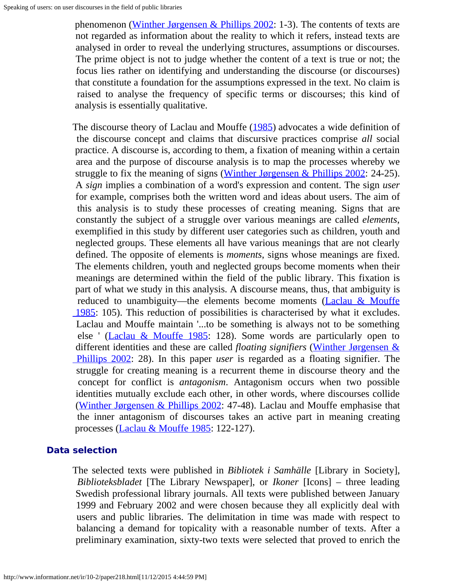phenomenon (Winther Jørgensen & Phillips  $2002$ : 1-3). The contents of texts are not regarded as information about the reality to which it refers, instead texts are analysed in order to reveal the underlying structures, assumptions or discourses. The prime object is not to judge whether the content of a text is true or not; the focus lies rather on identifying and understanding the discourse (or discourses) that constitute a foundation for the assumptions expressed in the text. No claim is raised to analyse the frequency of specific terms or discourses; this kind of analysis is essentially qualitative.

The discourse theory of Laclau and Mouffe [\(1985](#page-13-0)) advocates a wide definition of the discourse concept and claims that discursive practices comprise *all* social practice. A discourse is, according to them, a fixation of meaning within a certain area and the purpose of discourse analysis is to map the processes whereby we struggle to fix the meaning of signs (Winther Jørgensen & Phillips  $2002$ : 24-25). A *sign* implies a combination of a word's expression and content. The sign *user* for example, comprises both the written word and ideas about users. The aim of this analysis is to study these processes of creating meaning. Signs that are constantly the subject of a struggle over various meanings are called *elements*, exemplified in this study by different user categories such as children, youth and neglected groups. These elements all have various meanings that are not clearly defined. The opposite of elements is *moments*, signs whose meanings are fixed. The elements children, youth and neglected groups become moments when their meanings are determined within the field of the public library. This fixation is part of what we study in this analysis. A discourse means, thus, that ambiguity is reduced to unambiguity—the elements become moments [\(Laclau & Mouffe](#page-13-0)  [1985:](#page-13-0) 105). This reduction of possibilities is characterised by what it excludes. Laclau and Mouffe maintain '...to be something is always not to be something else ' [\(Laclau & Mouffe 1985](#page-13-0): 128). Some words are particularly open to different identities and these are called *floating signifiers* [\(Winther Jørgensen &](#page-14-4)  [Phillips 2002:](#page-14-4) 28). In this paper *user* is regarded as a floating signifier. The struggle for creating meaning is a recurrent theme in discourse theory and the concept for conflict is *antagonism*. Antagonism occurs when two possible identities mutually exclude each other, in other words, where discourses collide [\(Winther Jørgensen & Phillips 2002](#page-14-4): 47-48). Laclau and Mouffe emphasise that the inner antagonism of discourses takes an active part in meaning creating processes (*Laclau & Mouffe 1985*: 122-127).

#### **Data selection**

The selected texts were published in *Bibliotek i Samhälle* [Library in Society], *Biblioteksbladet* [The Library Newspaper], or *Ikoner* [Icons] – three leading Swedish professional library journals. All texts were published between January 1999 and February 2002 and were chosen because they all explicitly deal with users and public libraries. The delimitation in time was made with respect to balancing a demand for topicality with a reasonable number of texts. After a preliminary examination, sixty-two texts were selected that proved to enrich the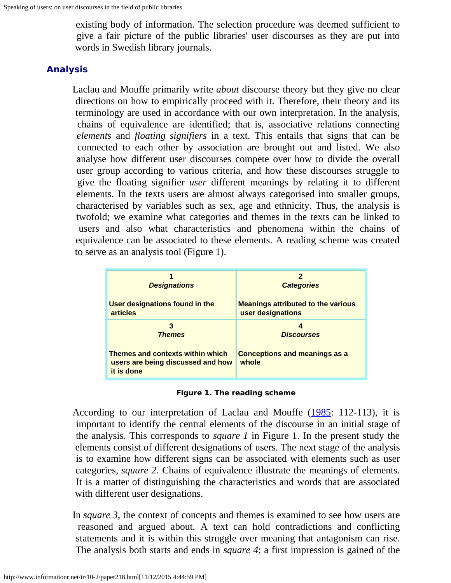existing body of information. The selection procedure was deemed sufficient to give a fair picture of the public libraries' user discourses as they are put into words in Swedish library journals.

#### **Analysis**

Laclau and Mouffe primarily write *about* discourse theory but they give no clear directions on how to empirically proceed with it. Therefore, their theory and its terminology are used in accordance with our own interpretation. In the analysis, chains of equivalence are identified; that is, associative relations connecting *elements* and *floating signifiers* in a text. This entails that signs that can be connected to each other by association are brought out and listed. We also analyse how different user discourses compete over how to divide the overall user group according to various criteria, and how these discourses struggle to give the floating signifier *user* different meanings by relating it to different elements. In the texts users are almost always categorised into smaller groups, characterised by variables such as sex, age and ethnicity. Thus, the analysis is twofold; we examine what categories and themes in the texts can be linked to users and also what characteristics and phenomena within the chains of equivalence can be associated to these elements. A reading scheme was created to serve as an analysis tool (Figure 1).

| <b>Designations</b>                                                                        | 2<br><b>Categories</b>                        |
|--------------------------------------------------------------------------------------------|-----------------------------------------------|
| User designations found in the                                                             | <b>Meanings attributed to the various</b>     |
| <b>articles</b>                                                                            | user designations                             |
| 3                                                                                          | Δ                                             |
| <b>Themes</b>                                                                              | <b>Discourses</b>                             |
| <b>Themes and contexts within which</b><br>users are being discussed and how<br>it is done | <b>Conceptions and meanings as a</b><br>whole |

**Figure 1. The reading scheme**

According to our interpretation of Laclau and Mouffe [\(1985](#page-0-0): 112-113), it is important to identify the central elements of the discourse in an initial stage of the analysis. This corresponds to *square 1* in Figure 1. In the present study the elements consist of different designations of users. The next stage of the analysis is to examine how different signs can be associated with elements such as user categories, *square 2*. Chains of equivalence illustrate the meanings of elements. It is a matter of distinguishing the characteristics and words that are associated with different user designations.

In *square 3*, the context of concepts and themes is examined to see how users are reasoned and argued about. A text can hold contradictions and conflicting statements and it is within this struggle over meaning that antagonism can rise. The analysis both starts and ends in *square 4*; a first impression is gained of the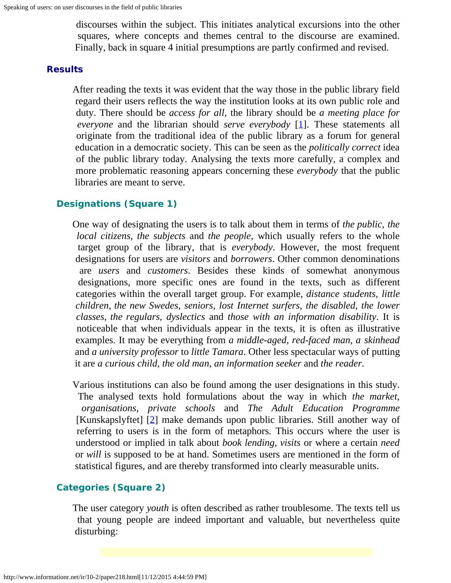discourses within the subject. This initiates analytical excursions into the other squares, where concepts and themes central to the discourse are examined. Finally, back in square 4 initial presumptions are partly confirmed and revised.

#### **Results**

After reading the texts it was evident that the way those in the public library field regard their users reflects the way the institution looks at its own public role and duty. There should be *access for all*, the library should be *a meeting place for everyone* and the librarian should *serve everybody* [\[1\]](#page-13-5). These statements all originate from the traditional idea of the public library as a forum for general education in a democratic society. This can be seen as the *politically correct* idea of the public library today. Analysing the texts more carefully, a complex and more problematic reasoning appears concerning these *everybody* that the public libraries are meant to serve.

#### **Designations (Square 1)**

One way of designating the users is to talk about them in terms of *the public*, *the local citizens*, *the subjects* and *the people*, which usually refers to the whole target group of the library, that is *everybody*. However, the most frequent designations for users are *visitors* and *borrowers*. Other common denominations are *users* and *customers*. Besides these kinds of somewhat anonymous designations, more specific ones are found in the texts, such as different categories within the overall target group. For example, *distance students*, *little children*, *the new Swedes*, *seniors*, *lost Internet surfers*, *the disabled*, *the lower classes*, *the regulars*, *dyslectics* and *those with an information disability*. It is noticeable that when individuals appear in the texts, it is often as illustrative examples. It may be everything from *a middle-aged, red-faced man*, *a skinhead* and *a university professor* to *little Tamara*. Other less spectacular ways of putting it are *a curious child*, *the old man*, *an information seeker* and *the reader*.

Various institutions can also be found among the user designations in this study. The analysed texts hold formulations about the way in which *the market*, *organisations*, *private schools* and *The Adult Education Programme* [Kunskapslyftet] [\[2](#page-13-6)] make demands upon public libraries. Still another way of referring to users is in the form of metaphors. This occurs where the user is understood or implied in talk about *book lending*, *visits* or where a certain *need* or *will* is supposed to be at hand. Sometimes users are mentioned in the form of statistical figures, and are thereby transformed into clearly measurable units.

#### **Categories (Square 2)**

The user category *youth* is often described as rather troublesome. The texts tell us that young people are indeed important and valuable, but nevertheless quite disturbing: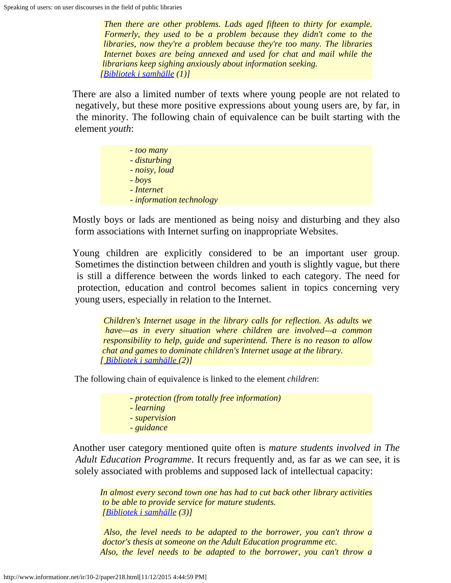*Then there are other problems. Lads aged fifteen to thirty for example. Formerly, they used to be a problem because they didn't come to the libraries, now they're a problem because they're too many. The libraries Internet boxes are being annexed and used for chat and mail while the librarians keep sighing anxiously about information seeking. [[Bibliotek i samhälle](#page-14-5) (1)]*

There are also a limited number of texts where young people are not related to negatively, but these more positive expressions about young users are, by far, in the minority. The following chain of equivalence can be built starting with the element *youth*:

| - too many               |
|--------------------------|
| - disturbing             |
| - noisy, loud            |
| $-$ <i>boys</i>          |
| - Internet               |
| - information technology |

Mostly boys or lads are mentioned as being noisy and disturbing and they also form associations with Internet surfing on inappropriate Websites.

Young children are explicitly considered to be an important user group. Sometimes the distinction between children and youth is slightly vague, but there is still a difference between the words linked to each category. The need for protection, education and control becomes salient in topics concerning very young users, especially in relation to the Internet.

*Children's Internet usage in the library calls for reflection. As adults we have—as in every situation where children are involved—a common responsibility to help, guide and superintend. There is no reason to allow chat and games to dominate children's Internet usage at the library. [ [Bibliotek i samhälle](#page-14-6) (2)]*

The following chain of equivalence is linked to the element *children*:

- *protection (from totally free information) - learning - supervision*
- *guidance*

Another user category mentioned quite often is *mature students involved in The Adult Education Programme*. It recurs frequently and, as far as we can see, it is solely associated with problems and supposed lack of intellectual capacity:

*In almost every second town one has had to cut back other library activities to be able to provide service for mature students. [[Bibliotek i samhälle](#page-14-7) (3)]*

*Also, the level needs to be adapted to the borrower, you can't throw a doctor's thesis at someone on the Adult Education programme etc. Also, the level needs to be adapted to the borrower, you can't throw a*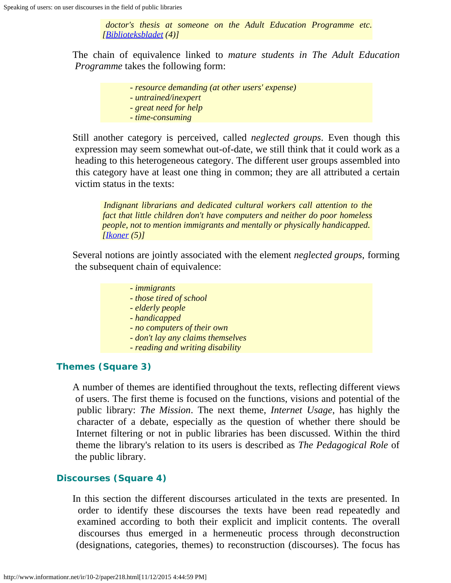*doctor's thesis at someone on the Adult Education Programme etc. [[Biblioteksbladet](#page-14-8) (4)]*

The chain of equivalence linked to *mature students in The Adult Education Programme* takes the following form:

- *resource demanding (at other users' expense)*
- *untrained/inexpert*
- *great need for help*
- *time-consuming*

Still another category is perceived, called *neglected groups*. Even though this expression may seem somewhat out-of-date, we still think that it could work as a heading to this heterogeneous category. The different user groups assembled into this category have at least one thing in common; they are all attributed a certain victim status in the texts:

*Indignant librarians and dedicated cultural workers call attention to the fact that little children don't have computers and neither do poor homeless people, not to mention immigrants and mentally or physically handicapped. [[Ikoner](#page-14-9) (5)]*

Several notions are jointly associated with the element *neglected groups*, forming the subsequent chain of equivalence:

#### *- immigrants - those tired of school - elderly people - handicapped*

- *no computers of their own*
- *don't lay any claims themselves*
- *reading and writing disability*

#### **Themes (Square 3)**

A number of themes are identified throughout the texts, reflecting different views of users. The first theme is focused on the functions, visions and potential of the public library: *The Mission*. The next theme, *Internet Usage*, has highly the character of a debate, especially as the question of whether there should be Internet filtering or not in public libraries has been discussed. Within the third theme the library's relation to its users is described as *The Pedagogical Role* of the public library.

#### **Discourses (Square 4)**

In this section the different discourses articulated in the texts are presented. In order to identify these discourses the texts have been read repeatedly and examined according to both their explicit and implicit contents. The overall discourses thus emerged in a hermeneutic process through deconstruction (designations, categories, themes) to reconstruction (discourses). The focus has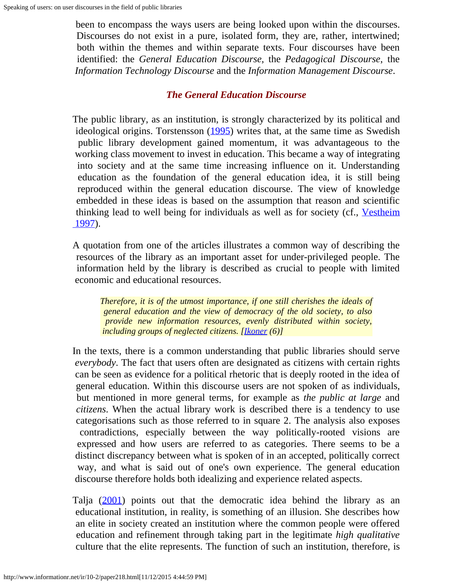been to encompass the ways users are being looked upon within the discourses. Discourses do not exist in a pure, isolated form, they are, rather, intertwined; both within the themes and within separate texts. Four discourses have been identified: the *General Education Discourse*, the *Pedagogical Discourse*, the *Information Technology Discourse* and the *Information Management Discourse*.

#### *The General Education Discourse*

The public library, as an institution, is strongly characterized by its political and ideological origins. Torstensson  $(1995)$  $(1995)$  writes that, at the same time as Swedish public library development gained momentum, it was advantageous to the working class movement to invest in education. This became a way of integrating into society and at the same time increasing influence on it. Understanding education as the foundation of the general education idea, it is still being reproduced within the general education discourse. The view of knowledge embedded in these ideas is based on the assumption that reason and scientific thinking lead to well being for individuals as well as for society (cf., [Vestheim](#page-14-11)  [1997\)](#page-14-11).

A quotation from one of the articles illustrates a common way of describing the resources of the library as an important asset for under-privileged people. The information held by the library is described as crucial to people with limited economic and educational resources.

*Therefore, it is of the utmost importance, if one still cherishes the ideals of general education and the view of democracy of the old society, to also provide new information resources, evenly distributed within society, including groups of neglected citizens. [\[Ikoner](#page-14-12) (6)]*

In the texts, there is a common understanding that public libraries should serve *everybody*. The fact that users often are designated as citizens with certain rights can be seen as evidence for a political rhetoric that is deeply rooted in the idea of general education. Within this discourse users are not spoken of as individuals, but mentioned in more general terms, for example as *the public at large* and *citizens*. When the actual library work is described there is a tendency to use categorisations such as those referred to in square 2. The analysis also exposes contradictions, especially between the way politically-rooted visions are expressed and how users are referred to as categories. There seems to be a distinct discrepancy between what is spoken of in an accepted, politically correct way, and what is said out of one's own experience. The general education discourse therefore holds both idealizing and experience related aspects.

Talja [\(2001](#page-14-3)) points out that the democratic idea behind the library as an educational institution, in reality, is something of an illusion. She describes how an elite in society created an institution where the common people were offered education and refinement through taking part in the legitimate *high qualitative* culture that the elite represents. The function of such an institution, therefore, is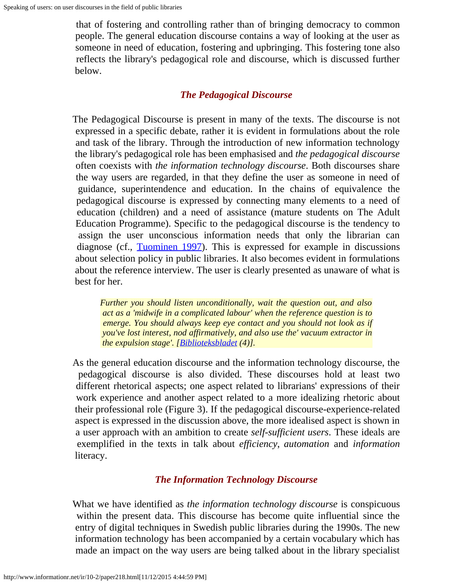that of fostering and controlling rather than of bringing democracy to common people. The general education discourse contains a way of looking at the user as someone in need of education, fostering and upbringing. This fostering tone also reflects the library's pedagogical role and discourse, which is discussed further below.

#### *The Pedagogical Discourse*

The Pedagogical Discourse is present in many of the texts. The discourse is not expressed in a specific debate, rather it is evident in formulations about the role and task of the library. Through the introduction of new information technology the library's pedagogical role has been emphasised and *the pedagogical discourse* often coexists with *the information technology discourse*. Both discourses share the way users are regarded, in that they define the user as someone in need of guidance, superintendence and education. In the chains of equivalence the pedagogical discourse is expressed by connecting many elements to a need of education (children) and a need of assistance (mature students on The Adult Education Programme). Specific to the pedagogical discourse is the tendency to assign the user unconscious information needs that only the librarian can diagnose (cf., [Tuominen 1997\)](#page-0-0). This is expressed for example in discussions about selection policy in public libraries. It also becomes evident in formulations about the reference interview. The user is clearly presented as unaware of what is best for her.

*Further you should listen unconditionally, wait the question out, and also act as a 'midwife in a complicated labour' when the reference question is to emerge. You should always keep eye contact and you should not look as if you've lost interest, nod affirmatively, and also use the' vacuum extractor in the expulsion stage'. [\[Biblioteksbladet](#page-14-8) (4)].*

As the general education discourse and the information technology discourse, the pedagogical discourse is also divided. These discourses hold at least two different rhetorical aspects; one aspect related to librarians' expressions of their work experience and another aspect related to a more idealizing rhetoric about their professional role (Figure 3). If the pedagogical discourse-experience-related aspect is expressed in the discussion above, the more idealised aspect is shown in a user approach with an ambition to create *self-sufficient users*. These ideals are exemplified in the texts in talk about *efficiency*, *automation* and *information* literacy.

#### *The Information Technology Discourse*

What we have identified as *the information technology discourse* is conspicuous within the present data. This discourse has become quite influential since the entry of digital techniques in Swedish public libraries during the 1990s. The new information technology has been accompanied by a certain vocabulary which has made an impact on the way users are being talked about in the library specialist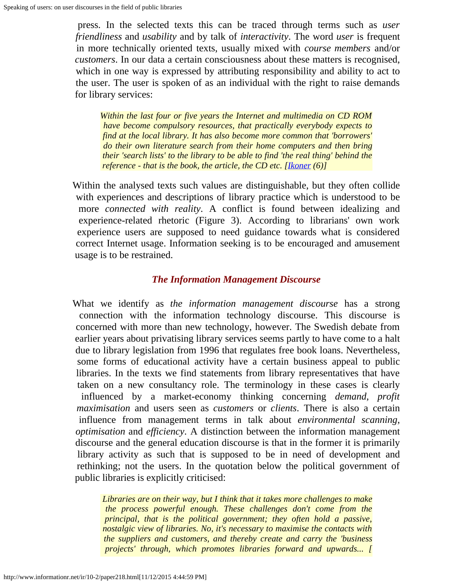press. In the selected texts this can be traced through terms such as *user friendliness* and *usability* and by talk of *interactivity*. The word *user* is frequent in more technically oriented texts, usually mixed with *course members* and/or *customers*. In our data a certain consciousness about these matters is recognised, which in one way is expressed by attributing responsibility and ability to act to the user. The user is spoken of as an individual with the right to raise demands for library services:

*Within the last four or five years the Internet and multimedia on CD ROM have become compulsory resources, that practically everybody expects to find at the local library. It has also become more common that 'borrowers' do their own literature search from their home computers and then bring their 'search lists' to the library to be able to find 'the real thing' behind the reference - that is the book, the article, the CD etc.* [*<u>Ikoner</u> (6)]* 

Within the analysed texts such values are distinguishable, but they often collide with experiences and descriptions of library practice which is understood to be more *connected with reality*. A conflict is found between idealizing and experience-related rhetoric (Figure 3). According to librarians' own work experience users are supposed to need guidance towards what is considered correct Internet usage. Information seeking is to be encouraged and amusement usage is to be restrained.

#### *The Information Management Discourse*

What we identify as *the information management discourse* has a strong connection with the information technology discourse. This discourse is concerned with more than new technology, however. The Swedish debate from earlier years about privatising library services seems partly to have come to a halt due to library legislation from 1996 that regulates free book loans. Nevertheless, some forms of educational activity have a certain business appeal to public libraries. In the texts we find statements from library representatives that have taken on a new consultancy role. The terminology in these cases is clearly influenced by a market-economy thinking concerning *demand*, *profit maximisation* and users seen as *customers* or *clients*. There is also a certain influence from management terms in talk about *environmental scanning*, *optimisation* and *efficiency*. A distinction between the information management discourse and the general education discourse is that in the former it is primarily library activity as such that is supposed to be in need of development and rethinking; not the users. In the quotation below the political government of public libraries is explicitly criticised:

*Libraries are on their way, but I think that it takes more challenges to make the process powerful enough. These challenges don't come from the principal, that is the political government; they often hold a passive, nostalgic view of libraries. No, it's necessary to maximise the contacts with the suppliers and customers, and thereby create and carry the 'business projects' through, which promotes libraries forward and upwards... [*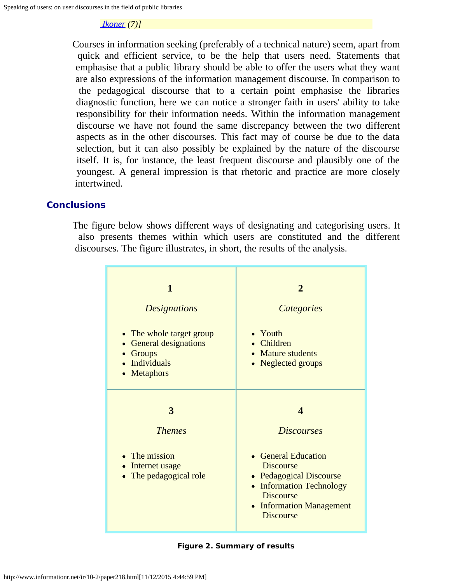#### *[Ikoner](#page-15-0) (7)]*

Courses in information seeking (preferably of a technical nature) seem, apart from quick and efficient service, to be the help that users need. Statements that emphasise that a public library should be able to offer the users what they want are also expressions of the information management discourse. In comparison to the pedagogical discourse that to a certain point emphasise the libraries diagnostic function, here we can notice a stronger faith in users' ability to take responsibility for their information needs. Within the information management discourse we have not found the same discrepancy between the two different aspects as in the other discourses. This fact may of course be due to the data selection, but it can also possibly be explained by the nature of the discourse itself. It is, for instance, the least frequent discourse and plausibly one of the youngest. A general impression is that rhetoric and practice are more closely intertwined.

#### **Conclusions**

The figure below shows different ways of designating and categorising users. It also presents themes within which users are constituted and the different discourses. The figure illustrates, in short, the results of the analysis.

| $\mathbf{1}$<br><b>Designations</b><br>• The whole target group<br><b>General designations</b><br>• Groups<br>· Individuals<br>• Metaphors | $\overline{2}$<br>Categories<br>• Youth<br>• Children<br>• Mature students<br>• Neglected groups                                                                                                                    |
|--------------------------------------------------------------------------------------------------------------------------------------------|---------------------------------------------------------------------------------------------------------------------------------------------------------------------------------------------------------------------|
| 3<br><b>Themes</b><br>• The mission<br>• Internet usage<br>• The pedagogical role                                                          | $\boldsymbol{\varDelta}$<br><b>Discourses</b><br>• General Education<br><b>Discourse</b><br>• Pedagogical Discourse<br>• Information Technology<br><b>Discourse</b><br>• Information Management<br><b>Discourse</b> |

**Figure 2. Summary of results**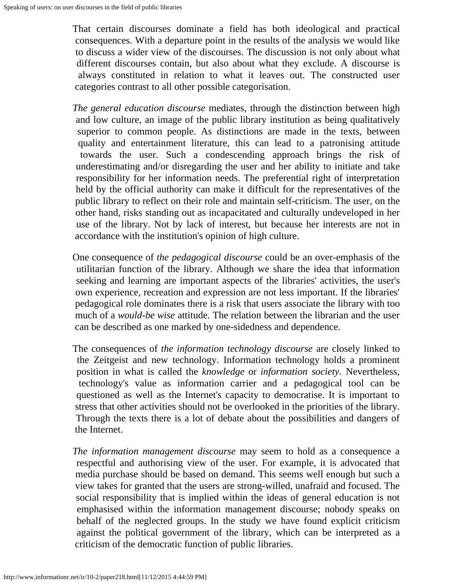That certain discourses dominate a field has both ideological and practical consequences. With a departure point in the results of the analysis we would like to discuss a wider view of the discourses. The discussion is not only about what different discourses contain, but also about what they exclude. A discourse is always constituted in relation to what it leaves out. The constructed user categories contrast to all other possible categorisation.

*The general education discourse* mediates, through the distinction between high and low culture, an image of the public library institution as being qualitatively superior to common people. As distinctions are made in the texts, between quality and entertainment literature, this can lead to a patronising attitude towards the user. Such a condescending approach brings the risk of underestimating and/or disregarding the user and her ability to initiate and take responsibility for her information needs. The preferential right of interpretation held by the official authority can make it difficult for the representatives of the public library to reflect on their role and maintain self-criticism. The user, on the other hand, risks standing out as incapacitated and culturally undeveloped in her use of the library. Not by lack of interest, but because her interests are not in accordance with the institution's opinion of high culture.

One consequence of *the pedagogical discourse* could be an over-emphasis of the utilitarian function of the library. Although we share the idea that information seeking and learning are important aspects of the libraries' activities, the user's own experience, recreation and expression are not less important. If the libraries' pedagogical role dominates there is a risk that users associate the library with too much of a *would-be wise* attitude. The relation between the librarian and the user can be described as one marked by one-sidedness and dependence.

The consequences of *the information technology discourse* are closely linked to the Zeitgeist and new technology. Information technology holds a prominent position in what is called the *knowledge* or *information society*. Nevertheless, technology's value as information carrier and a pedagogical tool can be questioned as well as the Internet's capacity to democratise. It is important to stress that other activities should not be overlooked in the priorities of the library. Through the texts there is a lot of debate about the possibilities and dangers of the Internet.

*The information management discourse* may seem to hold as a consequence a respectful and authorising view of the user. For example, it is advocated that media purchase should be based on demand. This seems well enough but such a view takes for granted that the users are strong-willed, unafraid and focused. The social responsibility that is implied within the ideas of general education is not emphasised within the information management discourse; nobody speaks on behalf of the neglected groups. In the study we have found explicit criticism against the political government of the library, which can be interpreted as a criticism of the democratic function of public libraries.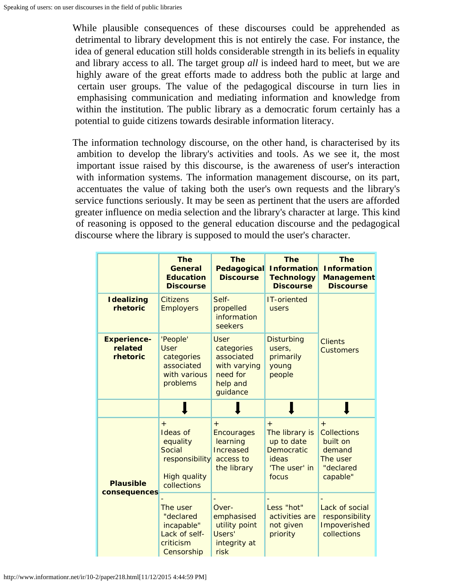While plausible consequences of these discourses could be apprehended as detrimental to library development this is not entirely the case. For instance, the idea of general education still holds considerable strength in its beliefs in equality and library access to all. The target group *all* is indeed hard to meet, but we are highly aware of the great efforts made to address both the public at large and certain user groups. The value of the pedagogical discourse in turn lies in emphasising communication and mediating information and knowledge from within the institution. The public library as a democratic forum certainly has a potential to guide citizens towards desirable information literacy.

The information technology discourse, on the other hand, is characterised by its ambition to develop the library's activities and tools. As we see it, the most important issue raised by this discourse, is the awareness of user's interaction with information systems. The information management discourse, on its part, accentuates the value of taking both the user's own requests and the library's service functions seriously. It may be seen as pertinent that the users are afforded greater influence on media selection and the library's character at large. This kind of reasoning is opposed to the general education discourse and the pedagogical discourse where the library is supposed to mould the user's character.

|                                           | <b>The</b><br>General<br><b>Education</b><br><b>Discourse</b>                                        | <b>The</b><br>Pedagogical<br><b>Discourse</b>                                               | <b>The</b><br><b>Information</b><br><b>Technology</b><br><b>Discourse</b>                   | <b>The</b><br><b>Information</b><br><b>Management</b><br><b>Discourse</b>            |  |
|-------------------------------------------|------------------------------------------------------------------------------------------------------|---------------------------------------------------------------------------------------------|---------------------------------------------------------------------------------------------|--------------------------------------------------------------------------------------|--|
| <b>Idealizing</b><br>rhetoric             | <b>Citizens</b><br><b>Employers</b>                                                                  | Self-<br>propelled<br>information<br>seekers                                                | <b>IT-oriented</b><br>users                                                                 |                                                                                      |  |
| <b>Experience-</b><br>related<br>rhetoric | 'People'<br><b>User</b><br>categories<br>associated<br>with various<br>problems                      | <b>User</b><br>categories<br>associated<br>with varying<br>need for<br>help and<br>guidance | <b>Disturbing</b><br>users,<br>primarily<br>young<br>people                                 | <b>Clients</b><br><b>Customers</b>                                                   |  |
|                                           |                                                                                                      |                                                                                             |                                                                                             |                                                                                      |  |
| <b>Plausible</b>                          | $+$<br><b>Ideas of</b><br>equality<br>Social<br>responsibility<br><b>High quality</b><br>collections | $^{+}$<br><b>Encourages</b><br>learning<br>Increased<br>access to<br>the library            | $+$<br>The library is<br>up to date<br><b>Democratic</b><br>ideas<br>'The user' in<br>focus | $+$<br><b>Collections</b><br>built on<br>demand<br>The user<br>"declared<br>capable" |  |
| consequences                              | The user<br>"declared<br>incapable"<br>Lack of self-<br>criticism<br>Censorship                      | Over-<br>emphasised<br>utility point<br>Users'<br>integrity at<br>risk                      | Less "hot"<br>activities are<br>not given<br>priority                                       | Lack of social<br>responsibility<br>Impoverished<br>collections                      |  |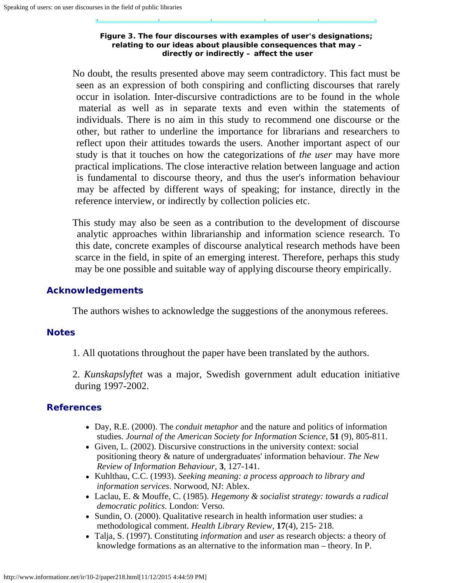#### **Figure 3. The four discourses with examples of user's designations; relating to our ideas about plausible consequences that may – directly or indirectly – affect the user**

No doubt, the results presented above may seem contradictory. This fact must be seen as an expression of both conspiring and conflicting discourses that rarely occur in isolation. Inter-discursive contradictions are to be found in the whole material as well as in separate texts and even within the statements of individuals. There is no aim in this study to recommend one discourse or the other, but rather to underline the importance for librarians and researchers to reflect upon their attitudes towards the users. Another important aspect of our study is that it touches on how the categorizations of *the user* may have more practical implications. The close interactive relation between language and action is fundamental to discourse theory, and thus the user's information behaviour may be affected by different ways of speaking; for instance, directly in the reference interview, or indirectly by collection policies etc.

This study may also be seen as a contribution to the development of discourse analytic approaches within librarianship and information science research. To this date, concrete examples of discourse analytical research methods have been scarce in the field, in spite of an emerging interest. Therefore, perhaps this study may be one possible and suitable way of applying discourse theory empirically.

#### **Acknowledgements**

The authors wishes to acknowledge the suggestions of the anonymous referees.

#### <span id="page-13-5"></span>**Notes**

1. All quotations throughout the paper have been translated by the authors.

2. *Kunskapslyftet* was a major, Swedish government adult education initiative during 1997-2002.

#### <span id="page-13-6"></span><span id="page-13-4"></span><span id="page-13-3"></span>**References**

- Day, R.E. (2000). The *conduit metaphor* and the nature and politics of information studies. *Journal of the American Society for Information Science*, **51** (9), 805-811.
- Given, L. (2002). Discursive constructions in the university context: social positioning theory & nature of undergraduates' information behaviour. *The New Review of Information Behaviour*, **3**, 127-141.
- Kuhlthau, C.C. (1993). *Seeking meaning: a process approach to library and information services*. Norwood, NJ: Ablex.
- <span id="page-13-0"></span>Laclau, E. & Mouffe, C. (1985). *Hegemony & socialist strategy: towards a radical democratic politics*. London: Verso.
- <span id="page-13-1"></span>• Sundin, O. (2000). Qualitative research in health information user studies: a methodological comment. *Health Library Review*, **17**(4), 215- 218.
- <span id="page-13-2"></span>Talja, S. (1997). Constituting *information* and *user* as research objects: a theory of knowledge formations as an alternative to the information man – theory. In P.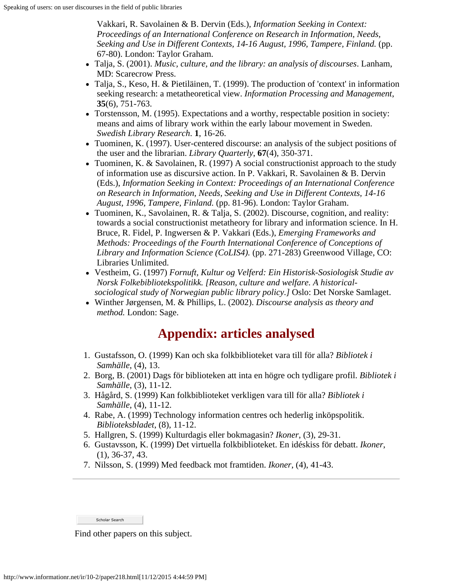Vakkari, R. Savolainen & B. Dervin (Eds.), *Information Seeking in Context: Proceedings of an International Conference on Research in Information, Needs, Seeking and Use in Different Contexts, 14-16 August, 1996, Tampere, Finland.* (pp. 67-80). London: Taylor Graham.

- <span id="page-14-3"></span>Talja, S. (2001). *Music, culture, and the library: an analysis of discourses*. Lanham, MD: Scarecrow Press.
- <span id="page-14-0"></span>• Talja, S., Keso, H. & Pietiläinen, T. (1999). The production of 'context' in information seeking research: a metatheoretical view. *Information Processing and Management*, **35**(6), 751-763.
- <span id="page-14-10"></span>Torstensson, M. (1995). Expectations and a worthy, respectable position in society: means and aims of library work within the early labour movement in Sweden. *Swedish Library Research*. **1**, 16-26.
- <span id="page-14-1"></span>Tuominen, K. (1997). User-centered discourse: an analysis of the subject positions of the user and the librarian. *Library Quarterly*, **67**(4), 350-371.
- <span id="page-14-2"></span>• Tuominen, K. & Savolainen, R. (1997) A social constructionist approach to the study of information use as discursive action. In P. Vakkari, R. Savolainen & B. Dervin (Eds.), *Information Seeking in Context: Proceedings of an International Conference on Research in Information, Needs, Seeking and Use in Different Contexts, 14-16 August, 1996, Tampere, Finland.* (pp. 81-96). London: Taylor Graham.
- Tuominen, K., Savolainen, R. & Talja, S. (2002). Discourse, cognition, and reality: towards a social constructionist metatheory for library and information science. In H. Bruce, R. Fidel, P. Ingwersen & P. Vakkari (Eds.), *Emerging Frameworks and Methods: Proceedings of the Fourth International Conference of Conceptions of Library and Information Science (CoLIS4).* (pp. 271-283) Greenwood Village, CO: Libraries Unlimited.
- <span id="page-14-11"></span>Vestheim, G. (1997) *Fornuft, Kultur og Velferd: Ein Historisk-Sosiologisk Studie av Norsk Folkebibliotekspolitikk. [Reason, culture and welfare. A historicalsociological study of Norwegian public library policy.]* Oslo: Det Norske Samlaget.
- <span id="page-14-4"></span>Winther Jørgensen, M. & Phillips, L. (2002). *Discourse analysis as theory and method.* London: Sage.

### **Appendix: articles analysed**

- 1. Gustafsson, O. (1999) Kan och ska folkbiblioteket vara till för alla? *Bibliotek i Samhälle*, (4), 13.
- <span id="page-14-5"></span>2. Borg, B. (2001) Dags för biblioteken att inta en högre och tydligare profil. *Bibliotek i Samhälle*, (3), 11-12.
- <span id="page-14-6"></span>3. Hågård, S. (1999) Kan folkbiblioteket verkligen vara till för alla? *Bibliotek i Samhälle*, (4), 11-12.
- <span id="page-14-7"></span>4. Rabe, A. (1999) Technology information centres och hederlig inköpspolitik. *Biblioteksbladet*, (8), 11-12.
- <span id="page-14-8"></span>5. Hallgren, S. (1999) Kulturdagis eller bokmagasin? *Ikoner*, (3), 29-31.
- <span id="page-14-9"></span>6. Gustavsson, K. (1999) Det virtuella folkbiblioteket. En idéskiss för debatt. *Ikoner*, (1), 36-37, 43.
- <span id="page-14-12"></span>7. Nilsson, S. (1999) Med feedback mot framtiden. *Ikoner*, (4), 41-43.

Scholar Search

Find other papers on this subject.